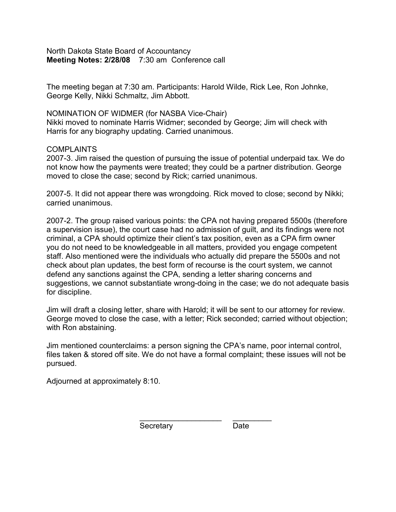North Dakota State Board of Accountancy **Meeting Notes: 2/28/08** 7:30 am Conference call

The meeting began at 7:30 am. Participants: Harold Wilde, Rick Lee, Ron Johnke, George Kelly, Nikki Schmaltz, Jim Abbott.

NOMINATION OF WIDMER (for NASBA Vice-Chair) Nikki moved to nominate Harris Widmer; seconded by George; Jim will check with Harris for any biography updating. Carried unanimous.

## **COMPLAINTS**

2007-3. Jim raised the question of pursuing the issue of potential underpaid tax. We do not know how the payments were treated; they could be a partner distribution. George moved to close the case; second by Rick; carried unanimous.

2007-5. It did not appear there was wrongdoing. Rick moved to close; second by Nikki; carried unanimous.

2007-2. The group raised various points: the CPA not having prepared 5500s (therefore a supervision issue), the court case had no admission of guilt, and its findings were not criminal, a CPA should optimize their client's tax position, even as a CPA firm owner you do not need to be knowledgeable in all matters, provided you engage competent staff. Also mentioned were the individuals who actually did prepare the 5500s and not check about plan updates, the best form of recourse is the court system, we cannot defend any sanctions against the CPA, sending a letter sharing concerns and suggestions, we cannot substantiate wrong-doing in the case; we do not adequate basis for discipline.

Jim will draft a closing letter, share with Harold; it will be sent to our attorney for review. George moved to close the case, with a letter; Rick seconded; carried without objection; with Ron abstaining.

Jim mentioned counterclaims: a person signing the CPA's name, poor internal control, files taken & stored off site. We do not have a formal complaint; these issues will not be pursued.

\_\_\_\_\_\_\_\_\_\_\_\_\_\_\_\_\_\_\_ \_\_\_\_\_\_\_\_\_

Adjourned at approximately 8:10.

Secretary Date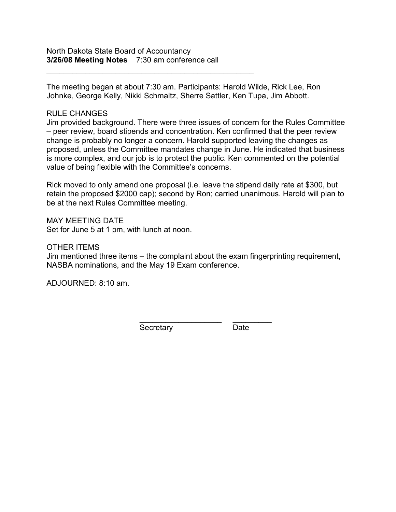\_\_\_\_\_\_\_\_\_\_\_\_\_\_\_\_\_\_\_\_\_\_\_\_\_\_\_\_\_\_\_\_\_\_\_\_\_\_\_\_\_\_\_\_\_\_\_\_

The meeting began at about 7:30 am. Participants: Harold Wilde, Rick Lee, Ron Johnke, George Kelly, Nikki Schmaltz, Sherre Sattler, Ken Tupa, Jim Abbott.

## RULE CHANGES

Jim provided background. There were three issues of concern for the Rules Committee – peer review, board stipends and concentration. Ken confirmed that the peer review change is probably no longer a concern. Harold supported leaving the changes as proposed, unless the Committee mandates change in June. He indicated that business is more complex, and our job is to protect the public. Ken commented on the potential value of being flexible with the Committee's concerns.

Rick moved to only amend one proposal (i.e. leave the stipend daily rate at \$300, but retain the proposed \$2000 cap); second by Ron; carried unanimous. Harold will plan to be at the next Rules Committee meeting.

MAY MEETING DATE Set for June 5 at 1 pm, with lunch at noon.

## OTHER ITEMS

Jim mentioned three items – the complaint about the exam fingerprinting requirement, NASBA nominations, and the May 19 Exam conference.

ADJOURNED: 8:10 am.

 $\frac{1}{2}$  ,  $\frac{1}{2}$  ,  $\frac{1}{2}$  ,  $\frac{1}{2}$  ,  $\frac{1}{2}$  ,  $\frac{1}{2}$  ,  $\frac{1}{2}$  ,  $\frac{1}{2}$  ,  $\frac{1}{2}$  ,  $\frac{1}{2}$  ,  $\frac{1}{2}$  ,  $\frac{1}{2}$  ,  $\frac{1}{2}$  ,  $\frac{1}{2}$  ,  $\frac{1}{2}$  ,  $\frac{1}{2}$  ,  $\frac{1}{2}$  ,  $\frac{1}{2}$  ,  $\frac{1$ Secretary Date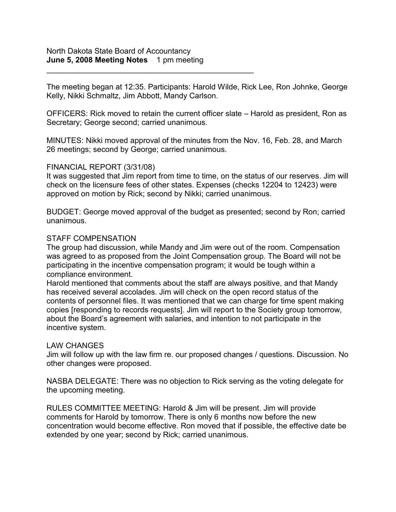\_\_\_\_\_\_\_\_\_\_\_\_\_\_\_\_\_\_\_\_\_\_\_\_\_\_\_\_\_\_\_\_\_\_\_\_\_\_\_\_\_\_\_\_\_\_\_\_

The meeting began at 12:35. Participants: Harold Wilde, Rick Lee, Ron Johnke, George Kelly, Nikki Schmaltz, Jim Abbott, Mandy Carlson.

OFFICERS: Rick moved to retain the current officer slate – Harold as president, Ron as Secretary; George second; carried unanimous.

MINUTES: Nikki moved approval of the minutes from the Nov. 16, Feb. 28, and March 26 meetings; second by George; carried unanimous.

## FINANCIAL REPORT (3/31/08)

It was suggested that Jim report from time to time, on the status of our reserves. Jim will check on the licensure fees of other states. Expenses (checks 12204 to 12423) were approved on motion by Rick; second by Nikki; carried unanimous.

BUDGET: George moved approval of the budget as presented; second by Ron; carried unanimous.

## STAFF COMPENSATION

The group had discussion, while Mandy and Jim were out of the room. Compensation was agreed to as proposed from the Joint Compensation group. The Board will not be participating in the incentive compensation program; it would be tough within a compliance environment.

Harold mentioned that comments about the staff are always positive, and that Mandy has received several accolades. Jim will check on the open record status of the contents of personnel files. It was mentioned that we can charge for time spent making copies [responding to records requests]. Jim will report to the Society group tomorrow, about the Board's agreement with salaries, and intention to not participate in the incentive system.

## LAW CHANGES

Jim will follow up with the law firm re. our proposed changes / questions. Discussion. No other changes were proposed.

NASBA DELEGATE: There was no objection to Rick serving as the voting delegate for the upcoming meeting.

RULES COMMITTEE MEETING: Harold & Jim will be present. Jim will provide comments for Harold by tomorrow. There is only 6 months now before the new concentration would become effective. Ron moved that if possible, the effective date be extended by one year; second by Rick; carried unanimous.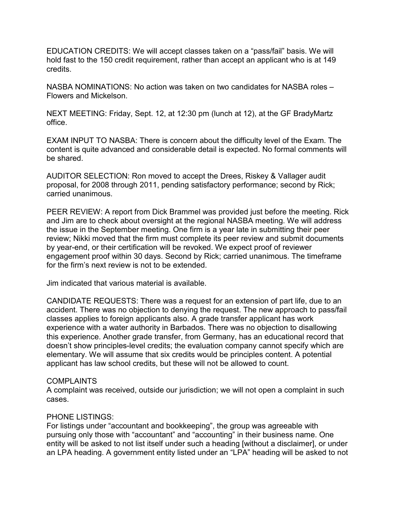EDUCATION CREDITS: We will accept classes taken on a "pass/fail" basis. We will hold fast to the 150 credit requirement, rather than accept an applicant who is at 149 credits.

NASBA NOMINATIONS: No action was taken on two candidates for NASBA roles – Flowers and Mickelson.

NEXT MEETING: Friday, Sept. 12, at 12:30 pm (lunch at 12), at the GF BradyMartz office.

EXAM INPUT TO NASBA: There is concern about the difficulty level of the Exam. The content is quite advanced and considerable detail is expected. No formal comments will be shared.

AUDITOR SELECTION: Ron moved to accept the Drees, Riskey & Vallager audit proposal, for 2008 through 2011, pending satisfactory performance; second by Rick; carried unanimous.

PEER REVIEW: A report from Dick Brammel was provided just before the meeting. Rick and Jim are to check about oversight at the regional NASBA meeting. We will address the issue in the September meeting. One firm is a year late in submitting their peer review; Nikki moved that the firm must complete its peer review and submit documents by year-end, or their certification will be revoked. We expect proof of reviewer engagement proof within 30 days. Second by Rick; carried unanimous. The timeframe for the firm's next review is not to be extended.

Jim indicated that various material is available.

CANDIDATE REQUESTS: There was a request for an extension of part life, due to an accident. There was no objection to denying the request. The new approach to pass/fail classes applies to foreign applicants also. A grade transfer applicant has work experience with a water authority in Barbados. There was no objection to disallowing this experience. Another grade transfer, from Germany, has an educational record that doesn't show principles-level credits; the evaluation company cannot specify which are elementary. We will assume that six credits would be principles content. A potential applicant has law school credits, but these will not be allowed to count.

## **COMPLAINTS**

A complaint was received, outside our jurisdiction; we will not open a complaint in such cases.

# PHONE LISTINGS:

For listings under "accountant and bookkeeping", the group was agreeable with pursuing only those with "accountant" and "accounting" in their business name. One entity will be asked to not list itself under such a heading [without a disclaimer], or under an LPA heading. A government entity listed under an "LPA" heading will be asked to not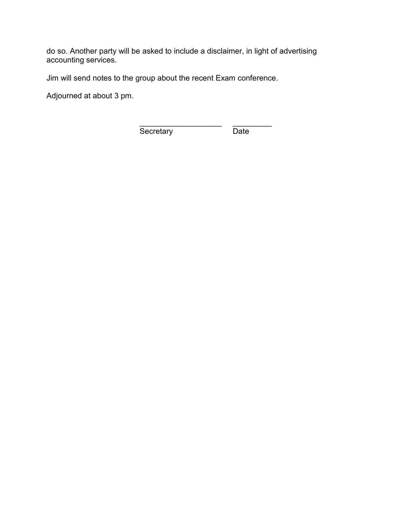do so. Another party will be asked to include a disclaimer, in light of advertising accounting services.

Jim will send notes to the group about the recent Exam conference.

Adjourned at about 3 pm.

\_\_\_\_\_\_\_\_\_\_\_\_\_\_\_\_\_\_\_ \_\_\_\_\_\_\_\_\_ Secretary Date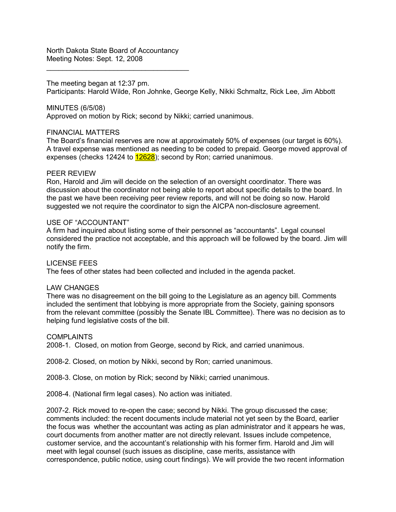North Dakota State Board of Accountancy Meeting Notes: Sept. 12, 2008

\_\_\_\_\_\_\_\_\_\_\_\_\_\_\_\_\_\_\_\_\_\_\_\_\_\_\_\_\_\_\_\_\_\_\_\_

### The meeting began at 12:37 pm.

Participants: Harold Wilde, Ron Johnke, George Kelly, Nikki Schmaltz, Rick Lee, Jim Abbott

MINUTES (6/5/08)

Approved on motion by Rick; second by Nikki; carried unanimous.

### FINANCIAL MATTERS

The Board's financial reserves are now at approximately 50% of expenses (our target is 60%). A travel expense was mentioned as needing to be coded to prepaid. George moved approval of expenses (checks 12424 to 12628); second by Ron; carried unanimous.

### PEER REVIEW

Ron, Harold and Jim will decide on the selection of an oversight coordinator. There was discussion about the coordinator not being able to report about specific details to the board. In the past we have been receiving peer review reports, and will not be doing so now. Harold suggested we not require the coordinator to sign the AICPA non-disclosure agreement.

### USE OF "ACCOUNTANT"

A firm had inquired about listing some of their personnel as "accountants". Legal counsel considered the practice not acceptable, and this approach will be followed by the board. Jim will notify the firm.

LICENSE FEES The fees of other states had been collected and included in the agenda packet.

### LAW CHANGES

There was no disagreement on the bill going to the Legislature as an agency bill. Comments included the sentiment that lobbying is more appropriate from the Society, gaining sponsors from the relevant committee (possibly the Senate IBL Committee). There was no decision as to helping fund legislative costs of the bill.

#### COMPLAINTS

2008-1. Closed, on motion from George, second by Rick, and carried unanimous.

2008-2. Closed, on motion by Nikki, second by Ron; carried unanimous.

2008-3. Close, on motion by Rick; second by Nikki; carried unanimous.

2008-4. (National firm legal cases). No action was initiated.

2007-2. Rick moved to re-open the case; second by Nikki. The group discussed the case; comments included: the recent documents include material not yet seen by the Board, earlier the focus was whether the accountant was acting as plan administrator and it appears he was, court documents from another matter are not directly relevant. Issues include competence, customer service, and the accountant's relationship with his former firm. Harold and Jim will meet with legal counsel (such issues as discipline, case merits, assistance with correspondence, public notice, using court findings). We will provide the two recent information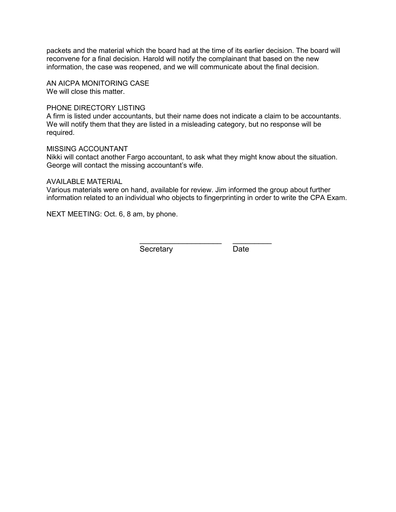packets and the material which the board had at the time of its earlier decision. The board will reconvene for a final decision. Harold will notify the complainant that based on the new information, the case was reopened, and we will communicate about the final decision.

AN AICPA MONITORING CASE We will close this matter.

### PHONE DIRECTORY LISTING

A firm is listed under accountants, but their name does not indicate a claim to be accountants. We will notify them that they are listed in a misleading category, but no response will be required.

### MISSING ACCOUNTANT

Nikki will contact another Fargo accountant, to ask what they might know about the situation. George will contact the missing accountant's wife.

### AVAILABLE MATERIAL

Various materials were on hand, available for review. Jim informed the group about further information related to an individual who objects to fingerprinting in order to write the CPA Exam.

NEXT MEETING: Oct. 6, 8 am, by phone.

 $\frac{1}{2}$  ,  $\frac{1}{2}$  ,  $\frac{1}{2}$  ,  $\frac{1}{2}$  ,  $\frac{1}{2}$  ,  $\frac{1}{2}$  ,  $\frac{1}{2}$  ,  $\frac{1}{2}$  ,  $\frac{1}{2}$  ,  $\frac{1}{2}$  ,  $\frac{1}{2}$  ,  $\frac{1}{2}$  ,  $\frac{1}{2}$  ,  $\frac{1}{2}$  ,  $\frac{1}{2}$  ,  $\frac{1}{2}$  ,  $\frac{1}{2}$  ,  $\frac{1}{2}$  ,  $\frac{1$ Secretary Date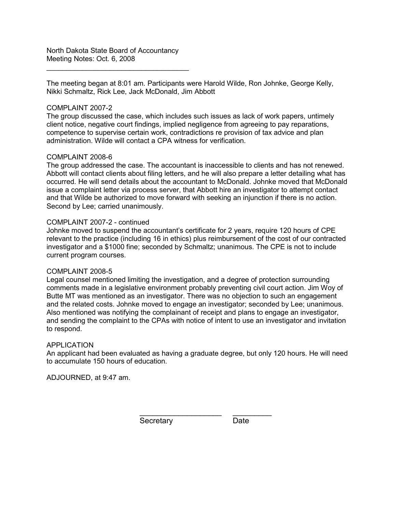North Dakota State Board of Accountancy Meeting Notes: Oct. 6, 2008

\_\_\_\_\_\_\_\_\_\_\_\_\_\_\_\_\_\_\_\_\_\_\_\_\_\_\_\_\_\_\_\_\_\_\_\_

The meeting began at 8:01 am. Participants were Harold Wilde, Ron Johnke, George Kelly, Nikki Schmaltz, Rick Lee, Jack McDonald, Jim Abbott

### COMPLAINT 2007-2

The group discussed the case, which includes such issues as lack of work papers, untimely client notice, negative court findings, implied negligence from agreeing to pay reparations, competence to supervise certain work, contradictions re provision of tax advice and plan administration. Wilde will contact a CPA witness for verification.

### COMPLAINT 2008-6

The group addressed the case. The accountant is inaccessible to clients and has not renewed. Abbott will contact clients about filing letters, and he will also prepare a letter detailing what has occurred. He will send details about the accountant to McDonald. Johnke moved that McDonald issue a complaint letter via process server, that Abbott hire an investigator to attempt contact and that Wilde be authorized to move forward with seeking an injunction if there is no action. Second by Lee; carried unanimously.

### COMPLAINT 2007-2 - continued

Johnke moved to suspend the accountant's certificate for 2 years, require 120 hours of CPE relevant to the practice (including 16 in ethics) plus reimbursement of the cost of our contracted investigator and a \$1000 fine; seconded by Schmaltz; unanimous. The CPE is not to include current program courses.

#### COMPLAINT 2008-5

Legal counsel mentioned limiting the investigation, and a degree of protection surrounding comments made in a legislative environment probably preventing civil court action. Jim Woy of Butte MT was mentioned as an investigator. There was no objection to such an engagement and the related costs. Johnke moved to engage an investigator; seconded by Lee; unanimous. Also mentioned was notifying the complainant of receipt and plans to engage an investigator, and sending the complaint to the CPAs with notice of intent to use an investigator and invitation to respond.

#### APPLICATION

An applicant had been evaluated as having a graduate degree, but only 120 hours. He will need to accumulate 150 hours of education.

ADJOURNED, at 9:47 am.

\_\_\_\_\_\_\_\_\_\_\_\_\_\_\_\_\_\_\_ \_\_\_\_\_\_\_\_\_ Secretary Date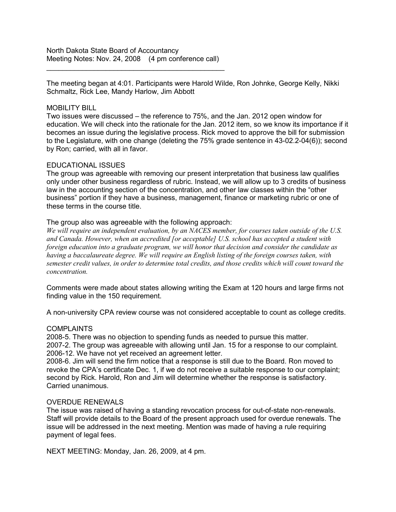North Dakota State Board of Accountancy Meeting Notes: Nov. 24, 2008 (4 pm conference call)

 $\frac{1}{2}$  , and the set of the set of the set of the set of the set of the set of the set of the set of the set of the set of the set of the set of the set of the set of the set of the set of the set of the set of the set

The meeting began at 4:01. Participants were Harold Wilde, Ron Johnke, George Kelly, Nikki Schmaltz, Rick Lee, Mandy Harlow, Jim Abbott

#### MOBILITY BILL

Two issues were discussed – the reference to 75%, and the Jan. 2012 open window for education. We will check into the rationale for the Jan. 2012 item, so we know its importance if it becomes an issue during the legislative process. Rick moved to approve the bill for submission to the Legislature, with one change (deleting the 75% grade sentence in 43-02.2-04(6)); second by Ron; carried, with all in favor.

### EDUCATIONAL ISSUES

The group was agreeable with removing our present interpretation that business law qualifies only under other business regardless of rubric. Instead, we will allow up to 3 credits of business law in the accounting section of the concentration, and other law classes within the "other business" portion if they have a business, management, finance or marketing rubric or one of these terms in the course title.

### The group also was agreeable with the following approach:

*We will require an independent evaluation, by an NACES member, for courses taken outside of the U.S. and Canada. However, when an accredited [or acceptable] U.S. school has accepted a student with foreign education into a graduate program, we will honor that decision and consider the candidate as having a baccalaureate degree. We will require an English listing of the foreign courses taken, with semester credit values, in order to determine total credits, and those credits which will count toward the concentration.* 

Comments were made about states allowing writing the Exam at 120 hours and large firms not finding value in the 150 requirement.

A non-university CPA review course was not considered acceptable to count as college credits.

#### COMPLAINTS

2008-5. There was no objection to spending funds as needed to pursue this matter. 2007-2. The group was agreeable with allowing until Jan. 15 for a response to our complaint. 2006-12. We have not yet received an agreement letter.

2008-6. Jim will send the firm notice that a response is still due to the Board. Ron moved to revoke the CPA's certificate Dec. 1, if we do not receive a suitable response to our complaint; second by Rick. Harold, Ron and Jim will determine whether the response is satisfactory. Carried unanimous.

### OVERDUE RENEWALS

The issue was raised of having a standing revocation process for out-of-state non-renewals. Staff will provide details to the Board of the present approach used for overdue renewals. The issue will be addressed in the next meeting. Mention was made of having a rule requiring payment of legal fees.

NEXT MEETING: Monday, Jan. 26, 2009, at 4 pm.